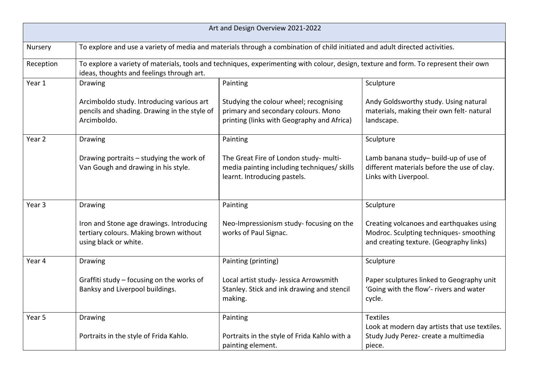| Art and Design Overview 2021-2022 |                                                                                                                                                                                   |                                                                                                                             |                                                                                                                                |  |  |
|-----------------------------------|-----------------------------------------------------------------------------------------------------------------------------------------------------------------------------------|-----------------------------------------------------------------------------------------------------------------------------|--------------------------------------------------------------------------------------------------------------------------------|--|--|
| Nursery                           | To explore and use a variety of media and materials through a combination of child initiated and adult directed activities.                                                       |                                                                                                                             |                                                                                                                                |  |  |
| Reception                         | To explore a variety of materials, tools and techniques, experimenting with colour, design, texture and form. To represent their own<br>ideas, thoughts and feelings through art. |                                                                                                                             |                                                                                                                                |  |  |
| Year 1                            | Drawing                                                                                                                                                                           | Painting                                                                                                                    | Sculpture                                                                                                                      |  |  |
|                                   | Arcimboldo study. Introducing various art<br>pencils and shading. Drawing in the style of<br>Arcimboldo.                                                                          | Studying the colour wheel; recognising<br>primary and secondary colours. Mono<br>printing (links with Geography and Africa) | Andy Goldsworthy study. Using natural<br>materials, making their own felt- natural<br>landscape.                               |  |  |
| Year 2                            | Drawing                                                                                                                                                                           | Painting                                                                                                                    | Sculpture                                                                                                                      |  |  |
|                                   | Drawing portraits - studying the work of<br>Van Gough and drawing in his style.                                                                                                   | The Great Fire of London study- multi-<br>media painting including techniques/ skills<br>learnt. Introducing pastels.       | Lamb banana study- build-up of use of<br>different materials before the use of clay.<br>Links with Liverpool.                  |  |  |
| Year 3                            | Drawing                                                                                                                                                                           | Painting                                                                                                                    | Sculpture                                                                                                                      |  |  |
|                                   | Iron and Stone age drawings. Introducing<br>tertiary colours. Making brown without<br>using black or white.                                                                       | Neo-Impressionism study- focusing on the<br>works of Paul Signac.                                                           | Creating volcanoes and earthquakes using<br>Modroc. Sculpting techniques- smoothing<br>and creating texture. (Geography links) |  |  |
| Year 4                            | <b>Drawing</b>                                                                                                                                                                    | Painting (printing)                                                                                                         | Sculpture                                                                                                                      |  |  |
|                                   | Graffiti study - focusing on the works of<br>Banksy and Liverpool buildings.                                                                                                      | Local artist study- Jessica Arrowsmith<br>Stanley. Stick and ink drawing and stencil<br>making.                             | Paper sculptures linked to Geography unit<br>'Going with the flow'- rivers and water<br>cycle.                                 |  |  |
| Year 5                            | Drawing                                                                                                                                                                           | Painting                                                                                                                    | <b>Textiles</b>                                                                                                                |  |  |
|                                   | Portraits in the style of Frida Kahlo.                                                                                                                                            | Portraits in the style of Frida Kahlo with a<br>painting element.                                                           | Look at modern day artists that use textiles.<br>Study Judy Perez- create a multimedia<br>piece.                               |  |  |